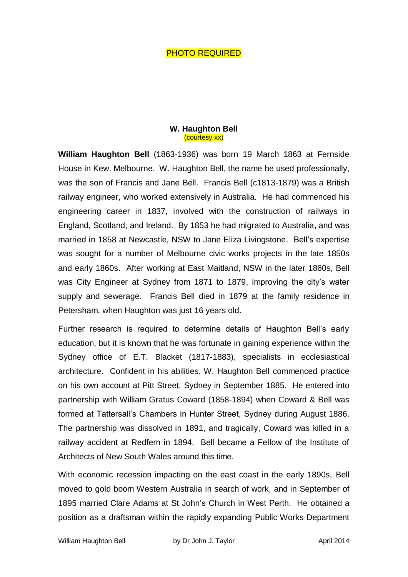## PHOTO REQUIRED

## **W. Haughton Bell** (courtesy xx)

**William Haughton Bell** (1863-1936) was born 19 March 1863 at Fernside House in Kew, Melbourne. W. Haughton Bell, the name he used professionally, was the son of Francis and Jane Bell. Francis Bell (c1813-1879) was a British railway engineer, who worked extensively in Australia. He had commenced his engineering career in 1837, involved with the construction of railways in England, Scotland, and Ireland. By 1853 he had migrated to Australia, and was married in 1858 at Newcastle, NSW to Jane Eliza Livingstone. Bell's expertise was sought for a number of Melbourne civic works projects in the late 1850s and early 1860s. After working at East Maitland, NSW in the later 1860s, Bell was City Engineer at Sydney from 1871 to 1879, improving the city's water supply and sewerage. Francis Bell died in 1879 at the family residence in Petersham, when Haughton was just 16 years old.

Further research is required to determine details of Haughton Bell's early education, but it is known that he was fortunate in gaining experience within the Sydney office of E.T. Blacket (1817-1883), specialists in ecclesiastical architecture. Confident in his abilities, W. Haughton Bell commenced practice on his own account at Pitt Street, Sydney in September 1885. He entered into partnership with William Gratus Coward (1858-1894) when Coward & Bell was formed at Tattersall's Chambers in Hunter Street, Sydney during August 1886. The partnership was dissolved in 1891, and tragically, Coward was killed in a railway accident at Redfern in 1894. Bell became a Fellow of the Institute of Architects of New South Wales around this time.

With economic recession impacting on the east coast in the early 1890s, Bell moved to gold boom Western Australia in search of work, and in September of 1895 married Clare Adams at St John's Church in West Perth. He obtained a position as a draftsman within the rapidly expanding Public Works Department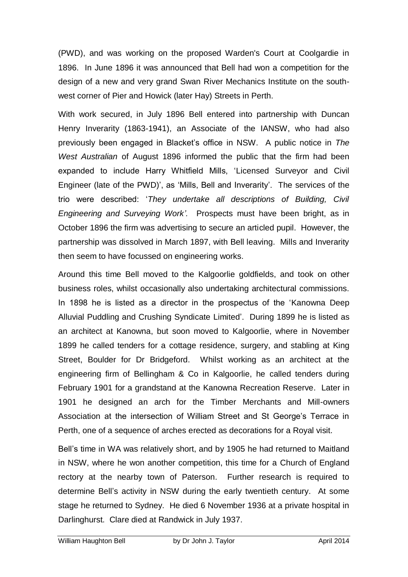(PWD), and was working on the proposed Warden's Court at Coolgardie in 1896. In June 1896 it was announced that Bell had won a competition for the design of a new and very grand Swan River Mechanics Institute on the southwest corner of Pier and Howick (later Hay) Streets in Perth.

With work secured, in July 1896 Bell entered into partnership with Duncan Henry Inverarity (1863-1941), an Associate of the IANSW, who had also previously been engaged in Blacket's office in NSW. A public notice in *The West Australian* of August 1896 informed the public that the firm had been expanded to include Harry Whitfield Mills, 'Licensed Surveyor and Civil Engineer (late of the PWD)', as 'Mills, Bell and Inverarity'. The services of the trio were described: '*They undertake all descriptions of Building, Civil Engineering and Surveying Work'.* Prospects must have been bright, as in October 1896 the firm was advertising to secure an articled pupil. However, the partnership was dissolved in March 1897, with Bell leaving. Mills and Inverarity then seem to have focussed on engineering works.

Around this time Bell moved to the Kalgoorlie goldfields, and took on other business roles, whilst occasionally also undertaking architectural commissions. In 1898 he is listed as a director in the prospectus of the 'Kanowna Deep Alluvial Puddling and Crushing Syndicate Limited'. During 1899 he is listed as an architect at Kanowna, but soon moved to Kalgoorlie, where in November 1899 he called tenders for a cottage residence, surgery, and stabling at King Street, Boulder for Dr Bridgeford. Whilst working as an architect at the engineering firm of Bellingham & Co in Kalgoorlie, he called tenders during February 1901 for a grandstand at the Kanowna Recreation Reserve. Later in 1901 he designed an arch for the Timber Merchants and Mill-owners Association at the intersection of William Street and St George's Terrace in Perth, one of a sequence of arches erected as decorations for a Royal visit.

Bell's time in WA was relatively short, and by 1905 he had returned to Maitland in NSW, where he won another competition, this time for a Church of England rectory at the nearby town of Paterson. Further research is required to determine Bell's activity in NSW during the early twentieth century. At some stage he returned to Sydney. He died 6 November 1936 at a private hospital in Darlinghurst. Clare died at Randwick in July 1937.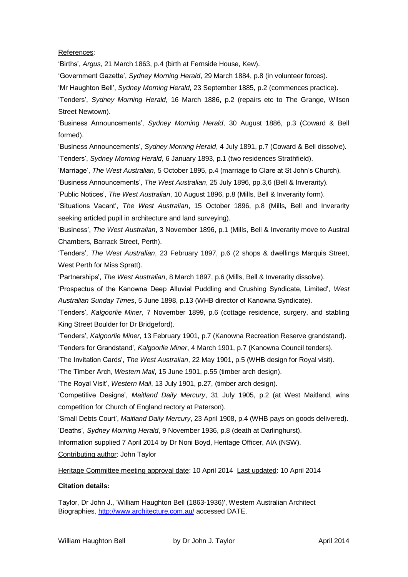## References:

'Births', *Argus*, 21 March 1863, p.4 (birth at Fernside House, Kew).

'Government Gazette', *Sydney Morning Herald*, 29 March 1884, p.8 (in volunteer forces).

'Mr Haughton Bell', *Sydney Morning Herald*, 23 September 1885, p.2 (commences practice).

'Tenders', *Sydney Morning Herald*, 16 March 1886, p.2 (repairs etc to The Grange, Wilson Street Newtown).

'Business Announcements', *Sydney Morning Herald*, 30 August 1886, p.3 (Coward & Bell formed).

'Business Announcements', *Sydney Morning Herald*, 4 July 1891, p.7 (Coward & Bell dissolve). 'Tenders', *Sydney Morning Herald*, 6 January 1893, p.1 (two residences Strathfield).

'Marriage', *The West Australian*, 5 October 1895, p.4 (marriage to Clare at St John's Church).

'Business Announcements', *The West Australian*, 25 July 1896, pp.3,6 (Bell & Inverarity).

'Public Notices', *The West Australian*, 10 August 1896, p.8 (Mills, Bell & Inverarity form).

'Situations Vacant', *The West Australian*, 15 October 1896, p.8 (Mills, Bell and Inverarity seeking articled pupil in architecture and land surveying).

'Business', *The West Australian*, 3 November 1896, p.1 (Mills, Bell & Inverarity move to Austral Chambers, Barrack Street, Perth).

'Tenders', *The West Australian*, 23 February 1897, p.6 (2 shops & dwellings Marquis Street, West Perth for Miss Spratt).

'Partnerships', *The West Australian*, 8 March 1897, p.6 (Mills, Bell & Inverarity dissolve).

'Prospectus of the Kanowna Deep Alluvial Puddling and Crushing Syndicate, Limited', *West Australian Sunday Times*, 5 June 1898, p.13 (WHB director of Kanowna Syndicate).

'Tenders', *Kalgoorlie Miner*, 7 November 1899, p.6 (cottage residence, surgery, and stabling King Street Boulder for Dr Bridgeford).

'Tenders', *Kalgoorlie Miner*, 13 February 1901, p.7 (Kanowna Recreation Reserve grandstand). 'Tenders for Grandstand', *Kalgoorlie Miner*, 4 March 1901, p.7 (Kanowna Council tenders).

'The Invitation Cards', *The West Australian*, 22 May 1901, p.5 (WHB design for Royal visit).

'The Timber Arch, *Western Mail*, 15 June 1901, p.55 (timber arch design).

'The Royal Visit', *Western Mail*, 13 July 1901, p.27, (timber arch design).

'Competitive Designs', *Maitland Daily Mercury*, 31 July 1905, p.2 (at West Maitland, wins competition for Church of England rectory at Paterson).

'Small Debts Court', *Maitland Daily Mercury*, 23 April 1908, p.4 (WHB pays on goods delivered).

'Deaths', *Sydney Morning Herald*, 9 November 1936, p.8 (death at Darlinghurst).

Information supplied 7 April 2014 by Dr Noni Boyd, Heritage Officer, AIA (NSW).

Contributing author: John Taylor

Heritage Committee meeting approval date: 10 April 2014 Last updated: 10 April 2014

## **Citation details:**

Taylor, Dr John J., 'William Haughton Bell (1863-1936)', Western Australian Architect Biographies,<http://www.architecture.com.au/> accessed DATE.